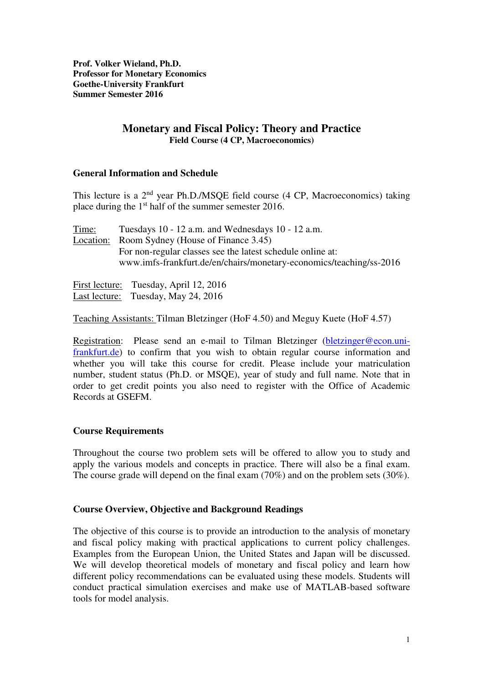**Prof. Volker Wieland, Ph.D. Professor for Monetary Economics Goethe-University Frankfurt Summer Semester 2016** 

## **Monetary and Fiscal Policy: Theory and Practice Field Course (4 CP, Macroeconomics)**

### **General Information and Schedule**

This lecture is a  $2<sup>nd</sup>$  year Ph.D./MSQE field course (4 CP, Macroeconomics) taking place during the 1st half of the summer semester 2016.

Time: Tuesdays 10 - 12 a.m. and Wednesdays 10 - 12 a.m. Location: Room Sydney (House of Finance 3.45) For non-regular classes see the latest schedule online at: www.imfs-frankfurt.de/en/chairs/monetary-economics/teaching/ss-2016

First lecture: Tuesday, April 12, 2016 Last lecture: Tuesday, May 24, 2016

Teaching Assistants: Tilman Bletzinger (HoF 4.50) and Meguy Kuete (HoF 4.57)

Registration: Please send an e-mail to Tilman Bletzinger (bletzinger@econ.unifrankfurt.de) to confirm that you wish to obtain regular course information and whether you will take this course for credit. Please include your matriculation number, student status (Ph.D. or MSQE), year of study and full name. Note that in order to get credit points you also need to register with the Office of Academic Records at GSEFM.

## **Course Requirements**

Throughout the course two problem sets will be offered to allow you to study and apply the various models and concepts in practice. There will also be a final exam. The course grade will depend on the final exam (70%) and on the problem sets (30%).

#### **Course Overview, Objective and Background Readings**

The objective of this course is to provide an introduction to the analysis of monetary and fiscal policy making with practical applications to current policy challenges. Examples from the European Union, the United States and Japan will be discussed. We will develop theoretical models of monetary and fiscal policy and learn how different policy recommendations can be evaluated using these models. Students will conduct practical simulation exercises and make use of MATLAB-based software tools for model analysis.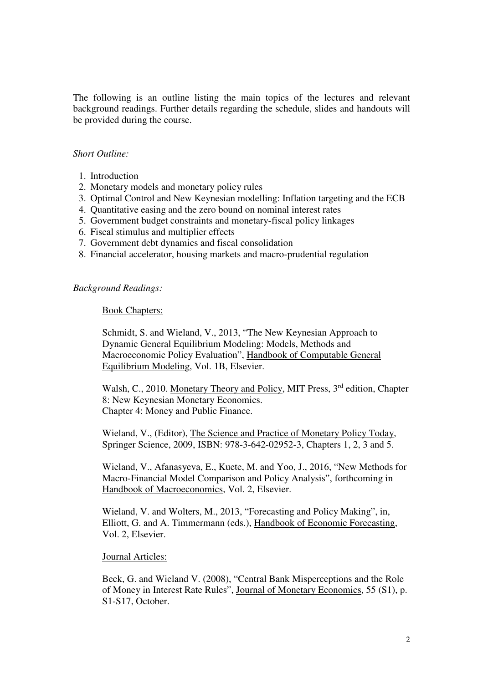The following is an outline listing the main topics of the lectures and relevant background readings. Further details regarding the schedule, slides and handouts will be provided during the course.

#### *Short Outline:*

- 1. Introduction
- 2. Monetary models and monetary policy rules
- 3. Optimal Control and New Keynesian modelling: Inflation targeting and the ECB
- 4. Quantitative easing and the zero bound on nominal interest rates
- 5. Government budget constraints and monetary-fiscal policy linkages
- 6. Fiscal stimulus and multiplier effects
- 7. Government debt dynamics and fiscal consolidation
- 8. Financial accelerator, housing markets and macro-prudential regulation

# *Background Readings:*

#### Book Chapters:

Schmidt, S. and Wieland, V., 2013, "The New Keynesian Approach to Dynamic General Equilibrium Modeling: Models, Methods and Macroeconomic Policy Evaluation", Handbook of Computable General Equilibrium Modeling, Vol. 1B, Elsevier.

Walsh, C., 2010. Monetary Theory and Policy, MIT Press, 3<sup>rd</sup> edition, Chapter 8: New Keynesian Monetary Economics. Chapter 4: Money and Public Finance.

Wieland, V., (Editor), The Science and Practice of Monetary Policy Today, Springer Science, 2009, ISBN: 978-3-642-02952-3, Chapters 1, 2, 3 and 5.

Wieland, V., Afanasyeva, E., Kuete, M. and Yoo, J., 2016, "New Methods for Macro-Financial Model Comparison and Policy Analysis", forthcoming in Handbook of Macroeconomics, Vol. 2, Elsevier.

Wieland, V. and Wolters, M., 2013, "Forecasting and Policy Making", in, Elliott, G. and A. Timmermann (eds.), Handbook of Economic Forecasting, Vol. 2, Elsevier.

#### Journal Articles:

Beck, G. and Wieland V. (2008), "Central Bank Misperceptions and the Role of Money in Interest Rate Rules", Journal of Monetary Economics, 55 (S1), p. S1-S17, October.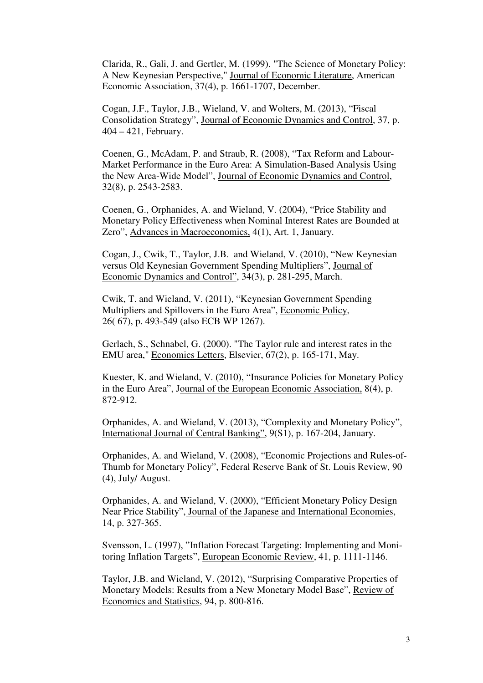Clarida, R., Gali, J. and Gertler, M. (1999). "The Science of Monetary Policy: A New Keynesian Perspective," Journal of Economic Literature, American Economic Association, 37(4), p. 1661-1707, December.

Cogan, J.F., Taylor, J.B., Wieland, V. and Wolters, M. (2013), "Fiscal Consolidation Strategy", Journal of Economic Dynamics and Control, 37, p. 404 – 421, February.

Coenen, G., McAdam, P. and Straub, R. (2008), "Tax Reform and Labour-Market Performance in the Euro Area: A Simulation-Based Analysis Using the New Area-Wide Model", Journal of Economic Dynamics and Control, 32(8), p. 2543-2583.

Coenen, G., Orphanides, A. and Wieland, V. (2004), "Price Stability and Monetary Policy Effectiveness when Nominal Interest Rates are Bounded at Zero", Advances in Macroeconomics, 4(1), Art. 1, January.

Cogan, J., Cwik, T., Taylor, J.B. and Wieland, V. (2010), "New Keynesian versus Old Keynesian Government Spending Multipliers", Journal of Economic Dynamics and Control", 34(3), p. 281-295, March.

Cwik, T. and Wieland, V. (2011), "Keynesian Government Spending Multipliers and Spillovers in the Euro Area", Economic Policy, 26( 67), p. 493-549 (also ECB WP 1267).

Gerlach, S., Schnabel, G. (2000). "The Taylor rule and interest rates in the EMU area," Economics Letters, Elsevier, 67(2), p. 165-171, May.

Kuester, K. and Wieland, V. (2010), "Insurance Policies for Monetary Policy in the Euro Area", Journal of the European Economic Association, 8(4), p. 872-912.

Orphanides, A. and Wieland, V. (2013), "Complexity and Monetary Policy", International Journal of Central Banking", 9(S1), p. 167-204, January.

Orphanides, A. and Wieland, V. (2008), "Economic Projections and Rules-of-Thumb for Monetary Policy", Federal Reserve Bank of St. Louis Review, 90 (4), July/ August.

Orphanides, A. and Wieland, V. (2000), "Efficient Monetary Policy Design Near Price Stability", Journal of the Japanese and International Economies, 14, p. 327-365.

Svensson, L. (1997), "Inflation Forecast Targeting: Implementing and Monitoring Inflation Targets", European Economic Review, 41, p. 1111-1146.

Taylor, J.B. and Wieland, V. (2012), "Surprising Comparative Properties of Monetary Models: Results from a New Monetary Model Base", Review of Economics and Statistics, 94, p. 800-816.